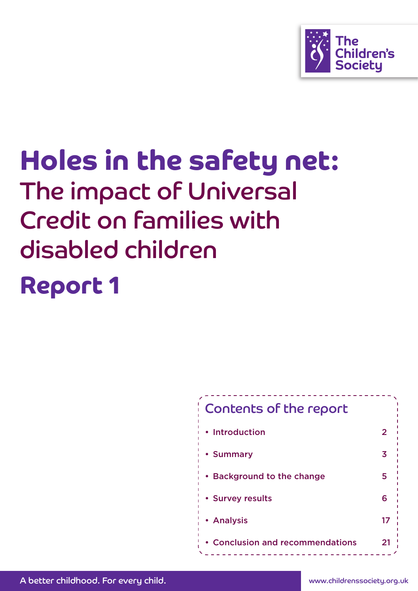

# Holes in the safety net: The impact of Universal Credit on families with disabled children Report 1

## Contents of the report • Introduction 2 • Summary 3 • Background to the change  $\sim$  5 • Survey results 6 • Analysis 17 • Conclusion and recommendations 21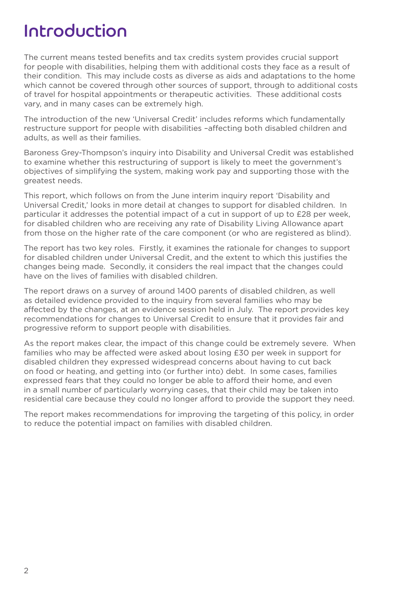## Introduction

The current means tested benefits and tax credits system provides crucial support for people with disabilities, helping them with additional costs they face as a result of their condition. This may include costs as diverse as aids and adaptations to the home which cannot be covered through other sources of support, through to additional costs of travel for hospital appointments or therapeutic activities. These additional costs vary, and in many cases can be extremely high.

The introduction of the new 'Universal Credit' includes reforms which fundamentally restructure support for people with disabilities –affecting both disabled children and adults, as well as their families.

Baroness Grey-Thompson's inquiry into Disability and Universal Credit was established to examine whether this restructuring of support is likely to meet the government's objectives of simplifying the system, making work pay and supporting those with the greatest needs.

This report, which follows on from the June interim inquiry report 'Disability and Universal Credit,' looks in more detail at changes to support for disabled children. In particular it addresses the potential impact of a cut in support of up to £28 per week, for disabled children who are receiving any rate of Disability Living Allowance apart from those on the higher rate of the care component (or who are registered as blind).

The report has two key roles. Firstly, it examines the rationale for changes to support for disabled children under Universal Credit, and the extent to which this justifies the changes being made. Secondly, it considers the real impact that the changes could have on the lives of families with disabled children.

The report draws on a survey of around 1400 parents of disabled children, as well as detailed evidence provided to the inquiry from several families who may be affected by the changes, at an evidence session held in July. The report provides key recommendations for changes to Universal Credit to ensure that it provides fair and progressive reform to support people with disabilities.

As the report makes clear, the impact of this change could be extremely severe. When families who may be affected were asked about losing £30 per week in support for disabled children they expressed widespread concerns about having to cut back on food or heating, and getting into (or further into) debt. In some cases, families expressed fears that they could no longer be able to afford their home, and even in a small number of particularly worrying cases, that their child may be taken into residential care because they could no longer afford to provide the support they need.

The report makes recommendations for improving the targeting of this policy, in order to reduce the potential impact on families with disabled children.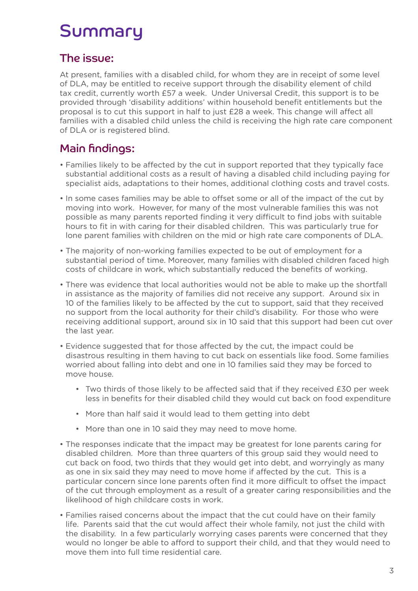## Summary

## The issue:

At present, families with a disabled child, for whom they are in receipt of some level of DLA, may be entitled to receive support through the disability element of child tax credit, currently worth £57 a week. Under Universal Credit, this support is to be provided through 'disability additions' within household benefit entitlements but the proposal is to cut this support in half to just £28 a week. This change will affect all families with a disabled child unless the child is receiving the high rate care component of DLA or is registered blind.

## Main findings:

- Families likely to be affected by the cut in support reported that they typically face substantial additional costs as a result of having a disabled child including paying for specialist aids, adaptations to their homes, additional clothing costs and travel costs.
- In some cases families may be able to offset some or all of the impact of the cut by moving into work. However, for many of the most vulnerable families this was not possible as many parents reported finding it very difficult to find jobs with suitable hours to fit in with caring for their disabled children. This was particularly true for lone parent families with children on the mid or high rate care components of DLA.
- The majority of non-working families expected to be out of employment for a substantial period of time. Moreover, many families with disabled children faced high costs of childcare in work, which substantially reduced the benefits of working.
- There was evidence that local authorities would not be able to make up the shortfall in assistance as the majority of families did not receive any support. Around six in 10 of the families likely to be affected by the cut to support, said that they received no support from the local authority for their child's disability. For those who were receiving additional support, around six in 10 said that this support had been cut over the last year.
- Evidence suggested that for those affected by the cut, the impact could be disastrous resulting in them having to cut back on essentials like food. Some families worried about falling into debt and one in 10 families said they may be forced to move house.
	- Two thirds of those likely to be affected said that if they received £30 per week less in benefits for their disabled child they would cut back on food expenditure
	- More than half said it would lead to them getting into debt
	- More than one in 10 said they may need to move home.
- The responses indicate that the impact may be greatest for lone parents caring for disabled children. More than three quarters of this group said they would need to cut back on food, two thirds that they would get into debt, and worryingly as many as one in six said they may need to move home if affected by the cut. This is a particular concern since lone parents often find it more difficult to offset the impact of the cut through employment as a result of a greater caring responsibilities and the likelihood of high childcare costs in work.
- Families raised concerns about the impact that the cut could have on their family life. Parents said that the cut would affect their whole family, not just the child with the disability. In a few particularly worrying cases parents were concerned that they would no longer be able to afford to support their child, and that they would need to move them into full time residential care.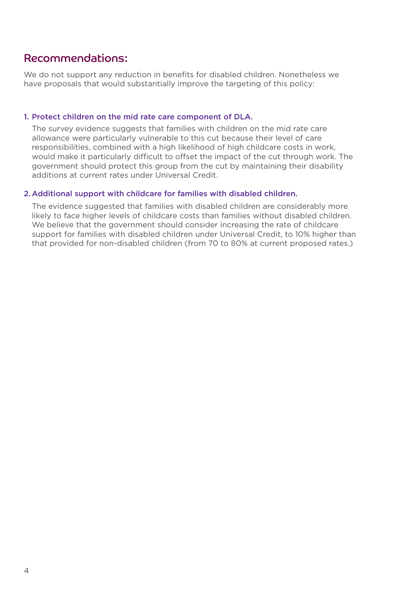## Recommendations:

We do not support any reduction in benefits for disabled children. Nonetheless we have proposals that would substantially improve the targeting of this policy:

## 1. Protect children on the mid rate care component of DLA.

The survey evidence suggests that families with children on the mid rate care allowance were particularly vulnerable to this cut because their level of care responsibilities, combined with a high likelihood of high childcare costs in work, would make it particularly difficult to offset the impact of the cut through work. The government should protect this group from the cut by maintaining their disability additions at current rates under Universal Credit.

## 2. Additional support with childcare for families with disabled children.

The evidence suggested that families with disabled children are considerably more likely to face higher levels of childcare costs than families without disabled children. We believe that the government should consider increasing the rate of childcare support for families with disabled children under Universal Credit, to 10% higher than that provided for non-disabled children (from 70 to 80% at current proposed rates.)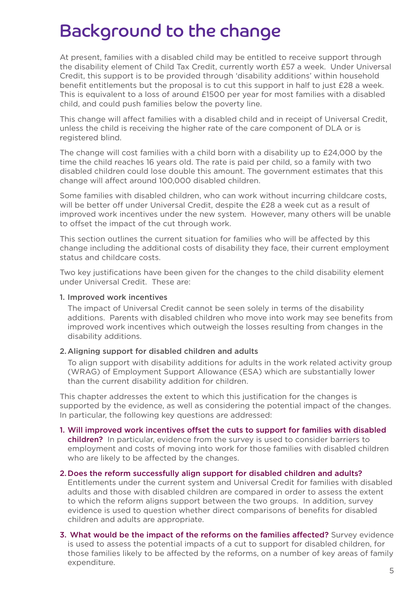## Background to the change

At present, families with a disabled child may be entitled to receive support through the disability element of Child Tax Credit, currently worth £57 a week. Under Universal Credit, this support is to be provided through 'disability additions' within household benefit entitlements but the proposal is to cut this support in half to just £28 a week. This is equivalent to a loss of around £1500 per year for most families with a disabled child, and could push families below the poverty line.

This change will affect families with a disabled child and in receipt of Universal Credit, unless the child is receiving the higher rate of the care component of DLA or is registered blind.

The change will cost families with a child born with a disability up to £24,000 by the time the child reaches 16 years old. The rate is paid per child, so a family with two disabled children could lose double this amount. The government estimates that this change will affect around 100,000 disabled children.

Some families with disabled children, who can work without incurring childcare costs, will be better off under Universal Credit, despite the £28 a week cut as a result of improved work incentives under the new system. However, many others will be unable to offset the impact of the cut through work.

This section outlines the current situation for families who will be affected by this change including the additional costs of disability they face, their current employment status and childcare costs.

Two key justifications have been given for the changes to the child disability element under Universal Credit. These are:

### 1. Improved work incentives

The impact of Universal Credit cannot be seen solely in terms of the disability additions. Parents with disabled children who move into work may see benefits from improved work incentives which outweigh the losses resulting from changes in the disability additions.

### 2. Aligning support for disabled children and adults

To align support with disability additions for adults in the work related activity group (WRAG) of Employment Support Allowance (ESA) which are substantially lower than the current disability addition for children.

This chapter addresses the extent to which this justification for the changes is supported by the evidence, as well as considering the potential impact of the changes. In particular, the following key questions are addressed:

### 1. Will improved work incentives offset the cuts to support for families with disabled

children? In particular, evidence from the survey is used to consider barriers to employment and costs of moving into work for those families with disabled children who are likely to be affected by the changes.

#### 2. Does the reform successfully align support for disabled children and adults?

Entitlements under the current system and Universal Credit for families with disabled adults and those with disabled children are compared in order to assess the extent to which the reform aligns support between the two groups. In addition, survey evidence is used to question whether direct comparisons of benefits for disabled children and adults are appropriate.

### 3. What would be the impact of the reforms on the families affected? Survey evidence is used to assess the potential impacts of a cut to support for disabled children, for those families likely to be affected by the reforms, on a number of key areas of family expenditure.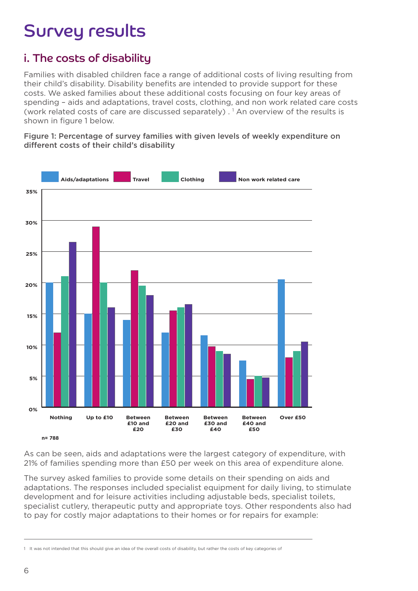## Survey results

## i. The costs of disability

Families with disabled children face a range of additional costs of living resulting from their child's disability. Disability benefits are intended to provide support for these costs. We asked families about these additional costs focusing on four key areas of spending – aids and adaptations, travel costs, clothing, and non work related care costs (work related costs of care are discussed separately).<sup>1</sup> An overview of the results is shown in figure 1 below.

Figure 1: Percentage of survey families with given levels of weekly expenditure on different costs of their child's disability



As can be seen, aids and adaptations were the largest category of expenditure, with 21% of families spending more than £50 per week on this area of expenditure alone.

The survey asked families to provide some details on their spending on aids and adaptations. The responses included specialist equipment for daily living, to stimulate development and for leisure activities including adjustable beds, specialist toilets, specialist cutlery, therapeutic putty and appropriate toys. Other respondents also had to pay for costly major adaptations to their homes or for repairs for example:

<sup>1</sup> It was not intended that this should give an idea of the overall costs of disability, but rather the costs of key categories of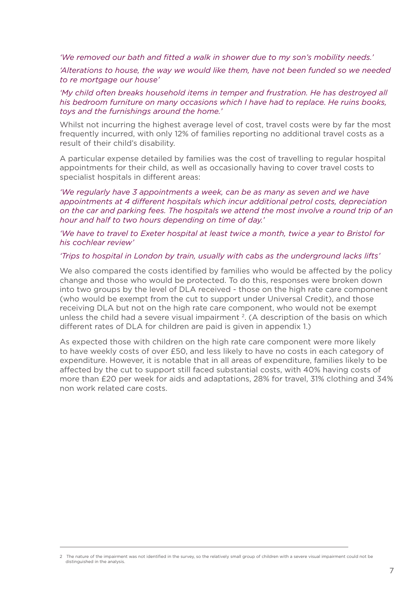*'We removed our bath and fitted a walk in shower due to my son's mobility needs.'*

*'Alterations to house, the way we would like them, have not been funded so we needed to re mortgage our house'*

*'My child often breaks household items in temper and frustration. He has destroyed all his bedroom furniture on many occasions which I have had to replace. He ruins books, toys and the furnishings around the home.'*

Whilst not incurring the highest average level of cost, travel costs were by far the most frequently incurred, with only 12% of families reporting no additional travel costs as a result of their child's disability.

A particular expense detailed by families was the cost of travelling to regular hospital appointments for their child, as well as occasionally having to cover travel costs to specialist hospitals in different areas:

*'We regularly have 3 appointments a week, can be as many as seven and we have appointments at 4 different hospitals which incur additional petrol costs, depreciation on the car and parking fees. The hospitals we attend the most involve a round trip of an hour and half to two hours depending on time of day.'*

*'We have to travel to Exeter hospital at least twice a month, twice a year to Bristol for his cochlear review'*

#### *'Trips to hospital in London by train, usually with cabs as the underground lacks lifts'*

We also compared the costs identified by families who would be affected by the policy change and those who would be protected. To do this, responses were broken down into two groups by the level of DLA received - those on the high rate care component (who would be exempt from the cut to support under Universal Credit), and those receiving DLA but not on the high rate care component, who would not be exempt unless the child had a severe visual impairment <sup>2</sup>. (A description of the basis on which different rates of DLA for children are paid is given in appendix 1.)

As expected those with children on the high rate care component were more likely to have weekly costs of over £50, and less likely to have no costs in each category of expenditure. However, it is notable that in all areas of expenditure, families likely to be affected by the cut to support still faced substantial costs, with 40% having costs of more than £20 per week for aids and adaptations, 28% for travel, 31% clothing and 34% non work related care costs.

<sup>2</sup> The nature of the impairment was not identified in the survey, so the relatively small group of children with a severe visual impairment could not be distinguished in the analysis.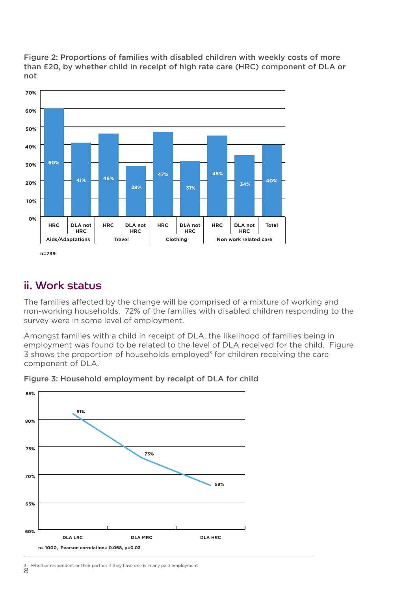

Figure 2: Proportions of families with disabled children with weekly costs of more than £20, by whether child in receipt of high rate care (HRC) component of DLA or not

## ii. Work status

The families affected by the change will be comprised of a mixture of working and non-working households. 72% of the families with disabled children responding to the survey were in some level of employment.

Amongst families with a child in receipt of DLA, the likelihood of families being in employment was found to be related to the level of DLA received for the child. Figure  $3$  shows the proportion of households employed<sup>3</sup> for children receiving the care component of DLA.



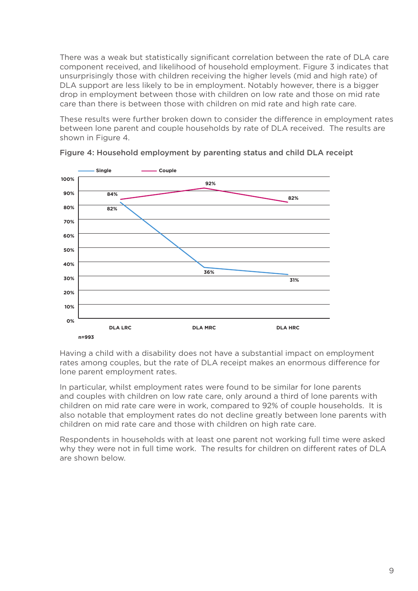There was a weak but statistically significant correlation between the rate of DLA care component received, and likelihood of household employment. Figure 3 indicates that unsurprisingly those with children receiving the higher levels (mid and high rate) of DLA support are less likely to be in employment. Notably however, there is a bigger drop in employment between those with children on low rate and those on mid rate care than there is between those with children on mid rate and high rate care.

These results were further broken down to consider the difference in employment rates between lone parent and couple households by rate of DLA received. The results are shown in Figure 4.



Figure 4: Household employment by parenting status and child DLA receipt

Having a child with a disability does not have a substantial impact on employment rates among couples, but the rate of DLA receipt makes an enormous difference for lone parent employment rates.

In particular, whilst employment rates were found to be similar for lone parents and couples with children on low rate care, only around a third of lone parents with children on mid rate care were in work, compared to 92% of couple households. It is also notable that employment rates do not decline greatly between lone parents with children on mid rate care and those with children on high rate care.

Respondents in households with at least one parent not working full time were asked why they were not in full time work. The results for children on different rates of DLA are shown below.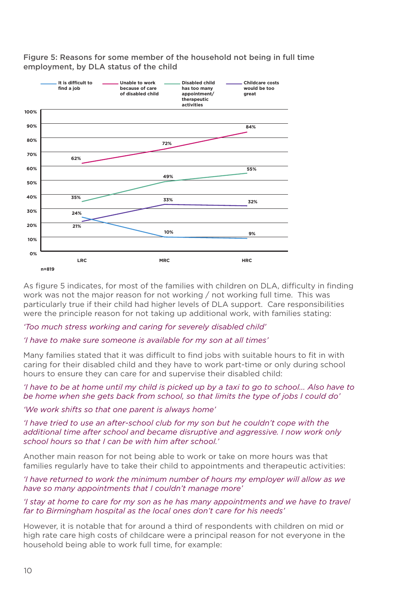Figure 5: Reasons for some member of the household not being in full time employment, by DLA status of the child



As figure 5 indicates, for most of the families with children on DLA, difficulty in finding work was not the major reason for not working / not working full time. This was particularly true if their child had higher levels of DLA support. Care responsibilities were the principle reason for not taking up additional work, with families stating:

### *'Too much stress working and caring for severely disabled child'*

#### *'I have to make sure someone is available for my son at all times'*

Many families stated that it was difficult to find jobs with suitable hours to fit in with caring for their disabled child and they have to work part-time or only during school hours to ensure they can care for and supervise their disabled child:

#### *'I have to be at home until my child is picked up by a taxi to go to school... Also have to be home when she gets back from school, so that limits the type of jobs I could do'*

#### *'We work shifts so that one parent is always home'*

*'I have tried to use an after-school club for my son but he couldn't cope with the additional time after school and became disruptive and aggressive. I now work only school hours so that I can be with him after school.'*

Another main reason for not being able to work or take on more hours was that families regularly have to take their child to appointments and therapeutic activities:

#### *'I have returned to work the minimum number of hours my employer will allow as we have so many appointments that I couldn't manage more'*

#### *'I stay at home to care for my son as he has many appointments and we have to travel far to Birmingham hospital as the local ones don't care for his needs'*

However, it is notable that for around a third of respondents with children on mid or high rate care high costs of childcare were a principal reason for not everyone in the household being able to work full time, for example: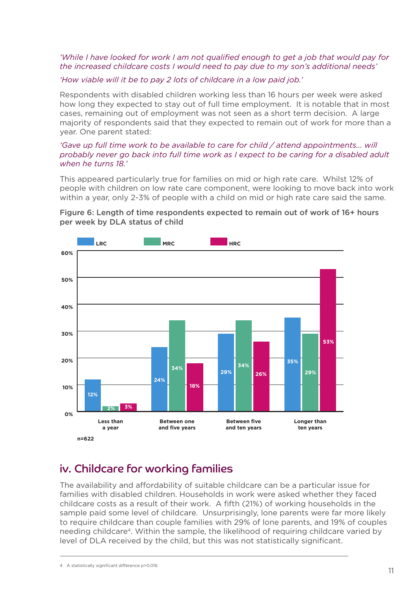### *'While I have looked for work I am not qualified enough to get a job that would pay for the increased childcare costs I would need to pay due to my son's additional needs'*

## *'How viable will it be to pay 2 lots of childcare in a low paid job.'*

Respondents with disabled children working less than 16 hours per week were asked how long they expected to stay out of full time employment. It is notable that in most cases, remaining out of employment was not seen as a short term decision. A large majority of respondents said that they expected to remain out of work for more than a year. One parent stated:

### *'Gave up full time work to be available to care for child / attend appointments... will probably never go back into full time work as I expect to be caring for a disabled adult when he turns 18.'*

This appeared particularly true for families on mid or high rate care. Whilst 12% of people with children on low rate care component, were looking to move back into work within a year, only 2-3% of people with a child on mid or high rate care said the same.





## iv. Childcare for working families

The availability and affordability of suitable childcare can be a particular issue for families with disabled children. Households in work were asked whether they faced childcare costs as a result of their work. A fifth (21%) of working households in the sample paid some level of childcare. Unsurprisingly, lone parents were far more likely to require childcare than couple families with 29% of lone parents, and 19% of couples needing childcare4. Within the sample, the likelihood of requiring childcare varied by level of DLA received by the child, but this was not statistically significant.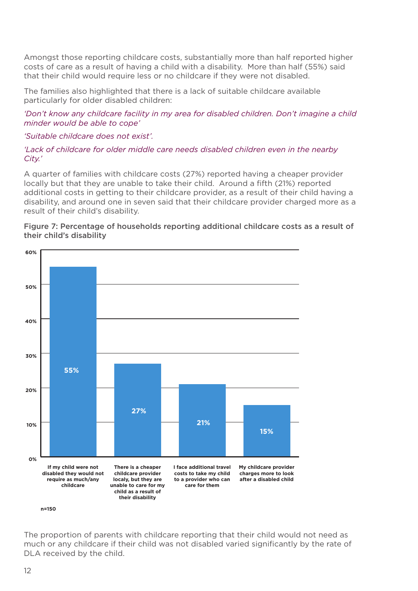Amongst those reporting childcare costs, substantially more than half reported higher costs of care as a result of having a child with a disability. More than half (55%) said that their child would require less or no childcare if they were not disabled.

The families also highlighted that there is a lack of suitable childcare available particularly for older disabled children:

*'Don't know any childcare facility in my area for disabled children. Don't imagine a child minder would be able to cope'*

*'Suitable childcare does not exist'.*

## *'Lack of childcare for older middle care needs disabled children even in the nearby City.'*

A quarter of families with childcare costs (27%) reported having a cheaper provider locally but that they are unable to take their child. Around a fifth (21%) reported additional costs in getting to their childcare provider, as a result of their child having a disability, and around one in seven said that their childcare provider charged more as a result of their child's disability.



### Figure 7: Percentage of households reporting additional childcare costs as a result of their child's disability

The proportion of parents with childcare reporting that their child would not need as much or any childcare if their child was not disabled varied significantly by the rate of DLA received by the child.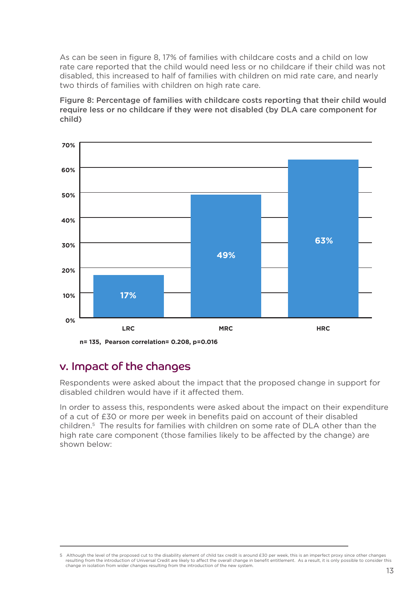As can be seen in figure 8, 17% of families with childcare costs and a child on low rate care reported that the child would need less or no childcare if their child was not disabled, this increased to half of families with children on mid rate care, and nearly two thirds of families with children on high rate care.

Figure 8: Percentage of families with childcare costs reporting that their child would require less or no childcare if they were not disabled (by DLA care component for child)



## v. Impact of the changes

Respondents were asked about the impact that the proposed change in support for disabled children would have if it affected them.

In order to assess this, respondents were asked about the impact on their expenditure of a cut of £30 or more per week in benefits paid on account of their disabled children.5 The results for families with children on some rate of DLA other than the high rate care component (those families likely to be affected by the change) are shown below:

<sup>5</sup> Although the level of the proposed cut to the disability element of child tax credit is around £30 per week, this is an imperfect proxy since other changes resulting from the introduction of Universal Credit are likely to affect the overall change in benefit entitlement. As a result, it is only possible to consider this change in isolation from wider changes resulting from the introduction of the new system.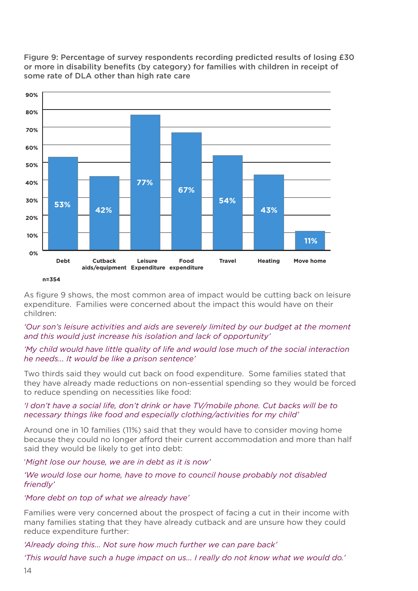Figure 9: Percentage of survey respondents recording predicted results of losing £30 or more in disability benefits (by category) for families with children in receipt of some rate of DLA other than high rate care



As figure 9 shows, the most common area of impact would be cutting back on leisure expenditure. Families were concerned about the impact this would have on their children:

## *'Our son's leisure activities and aids are severely limited by our budget at the moment and this would just increase his isolation and lack of opportunity'*

## *'My child would have little quality of life and would lose much of the social interaction he needs... It would be like a prison sentence'*

Two thirds said they would cut back on food expenditure. Some families stated that they have already made reductions on non-essential spending so they would be forced to reduce spending on necessities like food:

## *'I don't have a social life, don't drink or have TV/mobile phone. Cut backs will be to necessary things like food and especially clothing/activities for my child'*

Around one in 10 families (11%) said that they would have to consider moving home because they could no longer afford their current accommodation and more than half said they would be likely to get into debt:

### '*Might lose our house, we are in debt as it is now'*

## *'We would lose our home, have to move to council house probably not disabled friendly'*

### *'More debt on top of what we already have'*

Families were very concerned about the prospect of facing a cut in their income with many families stating that they have already cutback and are unsure how they could reduce expenditure further:

*'Already doing this... Not sure how much further we can pare back'*

*'This would have such a huge impact on us... I really do not know what we would do.'*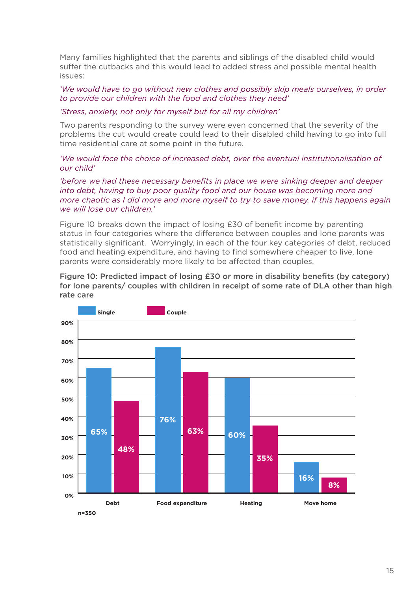Many families highlighted that the parents and siblings of the disabled child would suffer the cutbacks and this would lead to added stress and possible mental health issues:

#### *'We would have to go without new clothes and possibly skip meals ourselves, in order to provide our children with the food and clothes they need'*

#### *'Stress, anxiety, not only for myself but for all my children'*

Two parents responding to the survey were even concerned that the severity of the problems the cut would create could lead to their disabled child having to go into full time residential care at some point in the future.

#### *'We would face the choice of increased debt, over the eventual institutionalisation of our child'*

*'before we had these necessary benefits in place we were sinking deeper and deeper into debt, having to buy poor quality food and our house was becoming more and more chaotic as I did more and more myself to try to save money. if this happens again we will lose our children.'*

Figure 10 breaks down the impact of losing £30 of benefit income by parenting status in four categories where the difference between couples and lone parents was statistically significant. Worryingly, in each of the four key categories of debt, reduced food and heating expenditure, and having to find somewhere cheaper to live, lone parents were considerably more likely to be affected than couples.

Figure 10: Predicted impact of losing £30 or more in disability benefits (by category) for lone parents/ couples with children in receipt of some rate of DLA other than high rate care

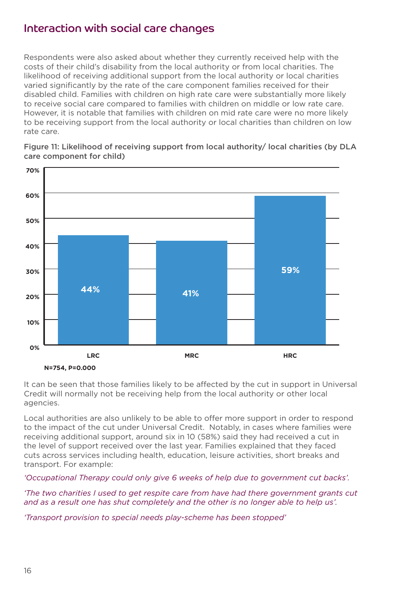## Interaction with social care changes

Respondents were also asked about whether they currently received help with the costs of their child's disability from the local authority or from local charities. The likelihood of receiving additional support from the local authority or local charities varied significantly by the rate of the care component families received for their disabled child. Families with children on high rate care were substantially more likely to receive social care compared to families with children on middle or low rate care. However, it is notable that families with children on mid rate care were no more likely to be receiving support from the local authority or local charities than children on low rate care.

Figure 11: Likelihood of receiving support from local authority/ local charities (by DLA care component for child)



It can be seen that those families likely to be affected by the cut in support in Universal Credit will normally not be receiving help from the local authority or other local agencies.

Local authorities are also unlikely to be able to offer more support in order to respond to the impact of the cut under Universal Credit. Notably, in cases where families were receiving additional support, around six in 10 (58%) said they had received a cut in the level of support received over the last year. Families explained that they faced cuts across services including health, education, leisure activities, short breaks and transport. For example:

*'Occupational Therapy could only give 6 weeks of help due to government cut backs'.*

*'The two charities I used to get respite care from have had there government grants cut and as a result one has shut completely and the other is no longer able to help us'.*

*'Transport provision to special needs play-scheme has been stopped'*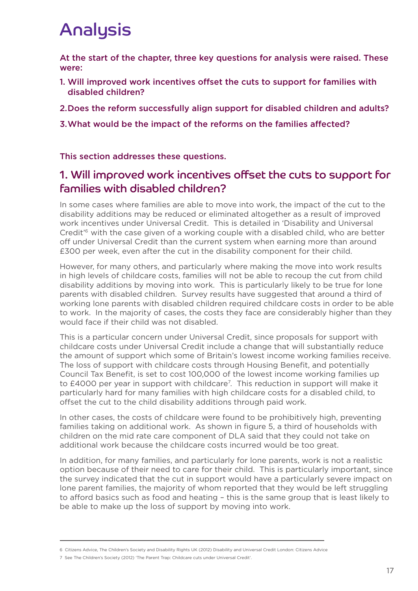## Analysis

At the start of the chapter, three key questions for analysis were raised. These were:

- 1. Will improved work incentives offset the cuts to support for families with disabled children?
- 2. Does the reform successfully align support for disabled children and adults?
- 3. What would be the impact of the reforms on the families affected?

This section addresses these questions.

## 1. Will improved work incentives offset the cuts to support for families with disabled children?

In some cases where families are able to move into work, the impact of the cut to the disability additions may be reduced or eliminated altogether as a result of improved work incentives under Universal Credit. This is detailed in 'Disability and Universal Credit'6 with the case given of a working couple with a disabled child, who are better off under Universal Credit than the current system when earning more than around £300 per week, even after the cut in the disability component for their child.

However, for many others, and particularly where making the move into work results in high levels of childcare costs, families will not be able to recoup the cut from child disability additions by moving into work. This is particularly likely to be true for lone parents with disabled children. Survey results have suggested that around a third of working lone parents with disabled children required childcare costs in order to be able to work. In the majority of cases, the costs they face are considerably higher than they would face if their child was not disabled.

This is a particular concern under Universal Credit, since proposals for support with childcare costs under Universal Credit include a change that will substantially reduce the amount of support which some of Britain's lowest income working families receive. The loss of support with childcare costs through Housing Benefit, and potentially Council Tax Benefit, is set to cost 100,000 of the lowest income working families up to £4000 per year in support with childcare<sup>7</sup>. This reduction in support will make it particularly hard for many families with high childcare costs for a disabled child, to offset the cut to the child disability additions through paid work.

In other cases, the costs of childcare were found to be prohibitively high, preventing families taking on additional work. As shown in figure 5, a third of households with children on the mid rate care component of DLA said that they could not take on additional work because the childcare costs incurred would be too great.

In addition, for many families, and particularly for lone parents, work is not a realistic option because of their need to care for their child. This is particularly important, since the survey indicated that the cut in support would have a particularly severe impact on lone parent families, the majority of whom reported that they would be left struggling to afford basics such as food and heating – this is the same group that is least likely to be able to make up the loss of support by moving into work.

<sup>6</sup> Citizens Advice, The Children's Society and Disability Rights UK (2012) Disability and Universal Credit London: Citizens Advice

<sup>7</sup> See The Children's Society (2012) 'The Parent Trap: Childcare cuts under Universal Credit'.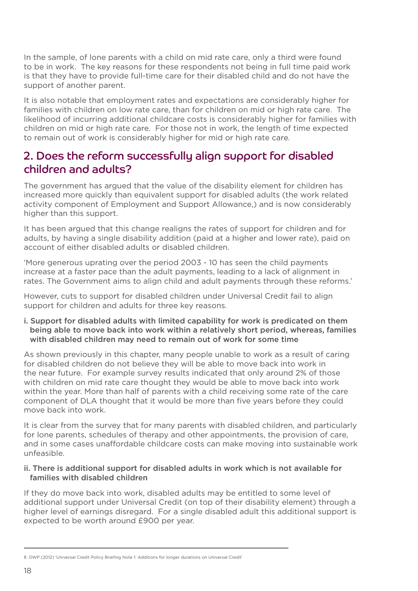In the sample, of lone parents with a child on mid rate care, only a third were found to be in work. The key reasons for these respondents not being in full time paid work is that they have to provide full-time care for their disabled child and do not have the support of another parent.

It is also notable that employment rates and expectations are considerably higher for families with children on low rate care, than for children on mid or high rate care. The likelihood of incurring additional childcare costs is considerably higher for families with children on mid or high rate care. For those not in work, the length of time expected to remain out of work is considerably higher for mid or high rate care.

## 2. Does the reform successfully align support for disabled children and adults?

The government has argued that the value of the disability element for children has increased more quickly than equivalent support for disabled adults (the work related activity component of Employment and Support Allowance,) and is now considerably higher than this support.

It has been argued that this change realigns the rates of support for children and for adults, by having a single disability addition (paid at a higher and lower rate), paid on account of either disabled adults or disabled children.

'More generous uprating over the period 2003 - 10 has seen the child payments increase at a faster pace than the adult payments, leading to a lack of alignment in rates. The Government aims to align child and adult payments through these reforms.'

However, cuts to support for disabled children under Universal Credit fail to align support for children and adults for three key reasons.

i. Support for disabled adults with limited capability for work is predicated on them being able to move back into work within a relatively short period, whereas, families with disabled children may need to remain out of work for some time

As shown previously in this chapter, many people unable to work as a result of caring for disabled children do not believe they will be able to move back into work in the near future. For example survey results indicated that only around 2% of those with children on mid rate care thought they would be able to move back into work within the year. More than half of parents with a child receiving some rate of the care component of DLA thought that it would be more than five years before they could move back into work.

It is clear from the survey that for many parents with disabled children, and particularly for lone parents, schedules of therapy and other appointments, the provision of care, and in some cases unaffordable childcare costs can make moving into sustainable work unfeasible.

## ii. There is additional support for disabled adults in work which is not available for families with disabled children

If they do move back into work, disabled adults may be entitled to some level of additional support under Universal Credit (on top of their disability element) through a higher level of earnings disregard. For a single disabled adult this additional support is expected to be worth around £900 per year.

<sup>8</sup> DWP (2012) 'Universal Credit Policy Briefing Note 1: Additions for longer durations on Universal Credit'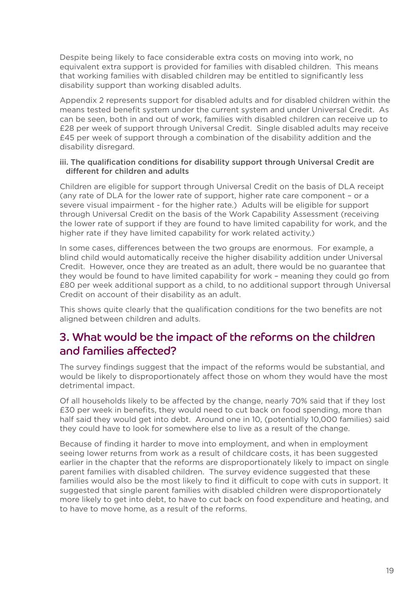Despite being likely to face considerable extra costs on moving into work, no equivalent extra support is provided for families with disabled children. This means that working families with disabled children may be entitled to significantly less disability support than working disabled adults.

Appendix 2 represents support for disabled adults and for disabled children within the means tested benefit system under the current system and under Universal Credit. As can be seen, both in and out of work, families with disabled children can receive up to £28 per week of support through Universal Credit. Single disabled adults may receive £45 per week of support through a combination of the disability addition and the disability disregard.

## iii. The qualification conditions for disability support through Universal Credit are different for children and adults

Children are eligible for support through Universal Credit on the basis of DLA receipt (any rate of DLA for the lower rate of support, higher rate care component – or a severe visual impairment - for the higher rate.) Adults will be eligible for support through Universal Credit on the basis of the Work Capability Assessment (receiving the lower rate of support if they are found to have limited capability for work, and the higher rate if they have limited capability for work related activity.)

In some cases, differences between the two groups are enormous. For example, a blind child would automatically receive the higher disability addition under Universal Credit. However, once they are treated as an adult, there would be no guarantee that they would be found to have limited capability for work – meaning they could go from £80 per week additional support as a child, to no additional support through Universal Credit on account of their disability as an adult.

This shows quite clearly that the qualification conditions for the two benefits are not aligned between children and adults.

## 3. What would be the impact of the reforms on the children and families affected?

The survey findings suggest that the impact of the reforms would be substantial, and would be likely to disproportionately affect those on whom they would have the most detrimental impact.

Of all households likely to be affected by the change, nearly 70% said that if they lost £30 per week in benefits, they would need to cut back on food spending, more than half said they would get into debt. Around one in 10, (potentially 10,000 families) said they could have to look for somewhere else to live as a result of the change.

Because of finding it harder to move into employment, and when in employment seeing lower returns from work as a result of childcare costs, it has been suggested earlier in the chapter that the reforms are disproportionately likely to impact on single parent families with disabled children. The survey evidence suggested that these families would also be the most likely to find it difficult to cope with cuts in support. It suggested that single parent families with disabled children were disproportionately more likely to get into debt, to have to cut back on food expenditure and heating, and to have to move home, as a result of the reforms.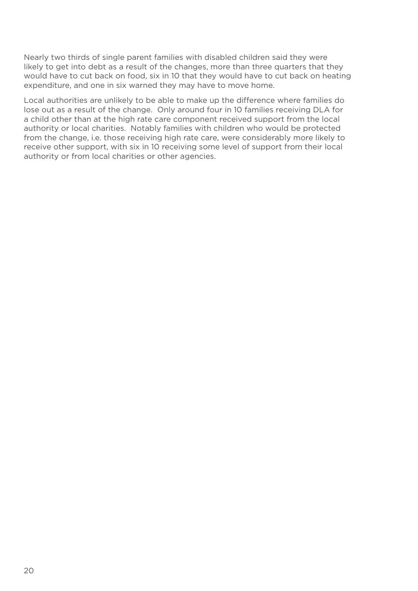Nearly two thirds of single parent families with disabled children said they were likely to get into debt as a result of the changes, more than three quarters that they would have to cut back on food, six in 10 that they would have to cut back on heating expenditure, and one in six warned they may have to move home.

Local authorities are unlikely to be able to make up the difference where families do lose out as a result of the change. Only around four in 10 families receiving DLA for a child other than at the high rate care component received support from the local authority or local charities. Notably families with children who would be protected from the change, i.e. those receiving high rate care, were considerably more likely to receive other support, with six in 10 receiving some level of support from their local authority or from local charities or other agencies.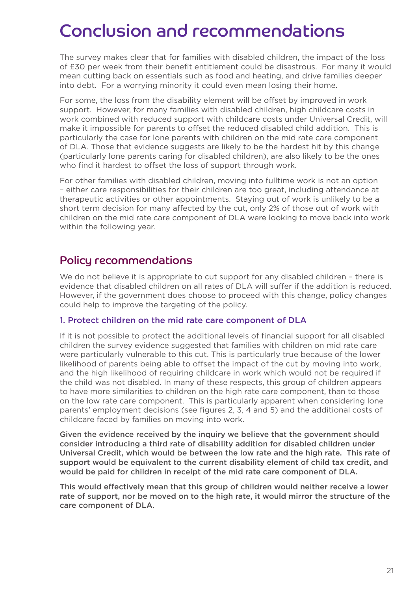## Conclusion and recommendations

The survey makes clear that for families with disabled children, the impact of the loss of £30 per week from their benefit entitlement could be disastrous. For many it would mean cutting back on essentials such as food and heating, and drive families deeper into debt. For a worrying minority it could even mean losing their home.

For some, the loss from the disability element will be offset by improved in work support. However, for many families with disabled children, high childcare costs in work combined with reduced support with childcare costs under Universal Credit, will make it impossible for parents to offset the reduced disabled child addition. This is particularly the case for lone parents with children on the mid rate care component of DLA. Those that evidence suggests are likely to be the hardest hit by this change (particularly lone parents caring for disabled children), are also likely to be the ones who find it hardest to offset the loss of support through work.

For other families with disabled children, moving into fulltime work is not an option – either care responsibilities for their children are too great, including attendance at therapeutic activities or other appointments. Staying out of work is unlikely to be a short term decision for many affected by the cut, only 2% of those out of work with children on the mid rate care component of DLA were looking to move back into work within the following year.

## Policy recommendations

We do not believe it is appropriate to cut support for any disabled children - there is evidence that disabled children on all rates of DLA will suffer if the addition is reduced. However, if the government does choose to proceed with this change, policy changes could help to improve the targeting of the policy.

## 1. Protect children on the mid rate care component of DLA

If it is not possible to protect the additional levels of financial support for all disabled children the survey evidence suggested that families with children on mid rate care were particularly vulnerable to this cut. This is particularly true because of the lower likelihood of parents being able to offset the impact of the cut by moving into work, and the high likelihood of requiring childcare in work which would not be required if the child was not disabled. In many of these respects, this group of children appears to have more similarities to children on the high rate care component, than to those on the low rate care component. This is particularly apparent when considering lone parents' employment decisions (see figures 2, 3, 4 and 5) and the additional costs of childcare faced by families on moving into work.

Given the evidence received by the inquiry we believe that the government should consider introducing a third rate of disability addition for disabled children under Universal Credit, which would be between the low rate and the high rate. This rate of support would be equivalent to the current disability element of child tax credit, and would be paid for children in receipt of the mid rate care component of DLA.

This would effectively mean that this group of children would neither receive a lower rate of support, nor be moved on to the high rate, it would mirror the structure of the care component of DLA.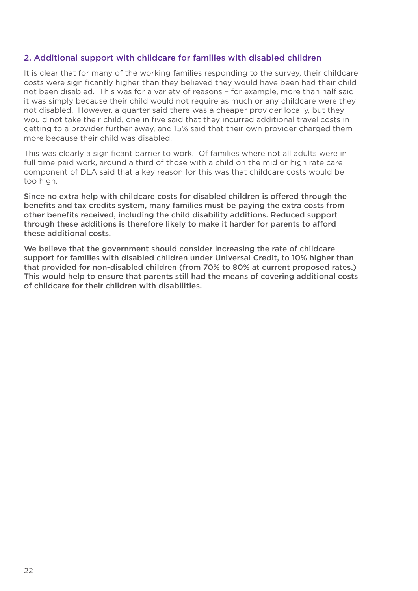## 2. Additional support with childcare for families with disabled children

It is clear that for many of the working families responding to the survey, their childcare costs were significantly higher than they believed they would have been had their child not been disabled. This was for a variety of reasons – for example, more than half said it was simply because their child would not require as much or any childcare were they not disabled. However, a quarter said there was a cheaper provider locally, but they would not take their child, one in five said that they incurred additional travel costs in getting to a provider further away, and 15% said that their own provider charged them more because their child was disabled.

This was clearly a significant barrier to work. Of families where not all adults were in full time paid work, around a third of those with a child on the mid or high rate care component of DLA said that a key reason for this was that childcare costs would be too high.

Since no extra help with childcare costs for disabled children is offered through the benefits and tax credits system, many families must be paying the extra costs from other benefits received, including the child disability additions. Reduced support through these additions is therefore likely to make it harder for parents to afford these additional costs.

We believe that the government should consider increasing the rate of childcare support for families with disabled children under Universal Credit, to 10% higher than that provided for non-disabled children (from 70% to 80% at current proposed rates.) This would help to ensure that parents still had the means of covering additional costs of childcare for their children with disabilities.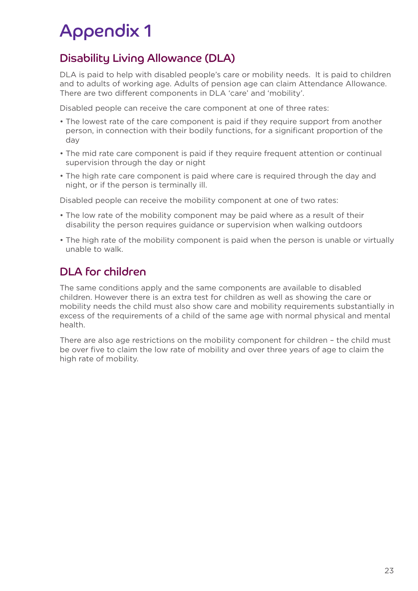## Appendix 1

## Disability Living Allowance (DLA)

DLA is paid to help with disabled people's care or mobility needs. It is paid to children and to adults of working age. Adults of pension age can claim Attendance Allowance. There are two different components in DLA 'care' and 'mobility'.

Disabled people can receive the care component at one of three rates:

- The lowest rate of the care component is paid if they require support from another person, in connection with their bodily functions, for a significant proportion of the day
- The mid rate care component is paid if they require frequent attention or continual supervision through the day or night
- The high rate care component is paid where care is required through the day and night, or if the person is terminally ill.

Disabled people can receive the mobility component at one of two rates:

- The low rate of the mobility component may be paid where as a result of their disability the person requires guidance or supervision when walking outdoors
- The high rate of the mobility component is paid when the person is unable or virtually unable to walk.

## DLA for children

The same conditions apply and the same components are available to disabled children. However there is an extra test for children as well as showing the care or mobility needs the child must also show care and mobility requirements substantially in excess of the requirements of a child of the same age with normal physical and mental health.

There are also age restrictions on the mobility component for children – the child must be over five to claim the low rate of mobility and over three years of age to claim the high rate of mobility.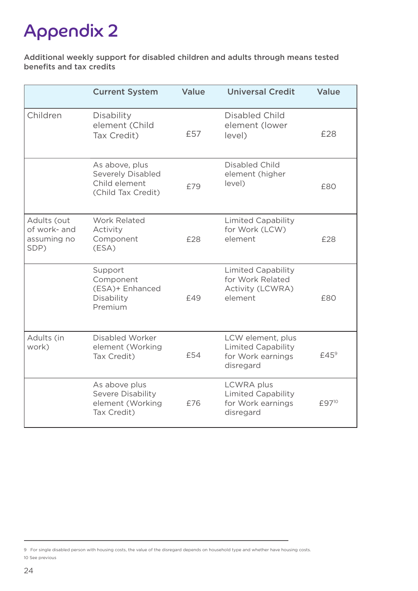## Appendix 2

Additional weekly support for disabled children and adults through means tested benefits and tax credits

|                                                    | <b>Current System</b>                                                             | Value | <b>Universal Credit</b>                                                          | <b>Value</b>      |
|----------------------------------------------------|-----------------------------------------------------------------------------------|-------|----------------------------------------------------------------------------------|-------------------|
| Children                                           | Disability<br>element (Child<br>Tax Credit)                                       | £57   | Disabled Child<br>element (lower<br>level)                                       | £28               |
|                                                    | As above, plus<br><b>Severely Disabled</b><br>Child element<br>(Child Tax Credit) | £79   | <b>Disabled Child</b><br>element (higher<br>level)                               | £80               |
| Adults (out<br>of work- and<br>assuming no<br>SDP) | <b>Work Related</b><br>Activity<br>Component<br>(ESA)                             | £28   | <b>Limited Capability</b><br>for Work (LCW)<br>element                           | £28               |
|                                                    | Support<br>Component<br>(ESA)+ Enhanced<br>Disability<br>Premium                  | £49   | Limited Capability<br>for Work Related<br><b>Activity (LCWRA)</b><br>element     | £80               |
| Adults (in<br>work)                                | Disabled Worker<br>element (Working<br>Tax Credit)                                | £54   | LCW element, plus<br><b>Limited Capability</b><br>for Work earnings<br>disregard | $E45^9$           |
|                                                    | As above plus<br>Severe Disability<br>element (Working<br>Tax Credit)             | £76   | <b>LCWRA</b> plus<br><b>Limited Capability</b><br>for Work earnings<br>disregard | £97 <sup>10</sup> |

<sup>9</sup> For single disabled person with housing costs, the value of the disregard depends on household type and whether have housing costs. 10 See previous